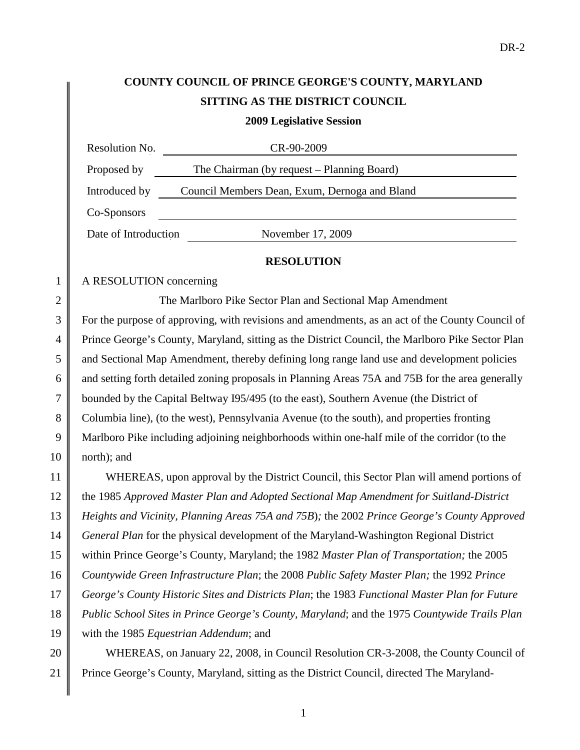# **COUNTY COUNCIL OF PRINCE GEORGE'S COUNTY, MARYLAND SITTING AS THE DISTRICT COUNCIL**

**2009 Legislative Session**

| Resolution No.       | CR-90-2009                                    |
|----------------------|-----------------------------------------------|
| Proposed by          | The Chairman (by request – Planning Board)    |
| Introduced by        | Council Members Dean, Exum, Dernoga and Bland |
| Co-Sponsors          |                                               |
| Date of Introduction | November 17, 2009                             |
|                      |                                               |

#### **RESOLUTION**

#### 1 | A RESOLUTION concerning

2 || The Marlboro Pike Sector Plan and Sectional Map Amendment

3 For the purpose of approving, with revisions and amendments, as an act of the County Council of Prince George's County, Maryland, sitting as the District Council, the Marlboro Pike Sector Plan and Sectional Map Amendment, thereby defining long range land use and development policies and setting forth detailed zoning proposals in Planning Areas 75A and 75B for the area generally bounded by the Capital Beltway I95/495 (to the east), Southern Avenue (the District of Columbia line), (to the west), Pennsylvania Avenue (to the south), and properties fronting Marlboro Pike including adjoining neighborhoods within one-half mile of the corridor (to the  $10 \parallel$  north); and

 WHEREAS, upon approval by the District Council, this Sector Plan will amend portions of the 1985 *Approved Master Plan and Adopted Sectional Map Amendment for Suitland-District Heights and Vicinity, Planning Areas 75A and 75B*)*;* the 2002 *Prince George's County Approved General Plan* for the physical development of the Maryland-Washington Regional District within Prince George's County, Maryland; the 1982 *Master Plan of Transportation;* the 2005 *Countywide Green Infrastructure Plan*; the 2008 *Public Safety Master Plan;* the 1992 *Prince George's County Historic Sites and Districts Plan*; the 1983 *Functional Master Plan for Future Public School Sites in Prince George's County, Maryland*; and the 1975 *Countywide Trails Plan*  with the 1985 *Equestrian Addendum*; and

20 WHEREAS, on January 22, 2008, in Council Resolution CR-3-2008, the County Council of 21 Prince George's County, Maryland, sitting as the District Council, directed The Maryland-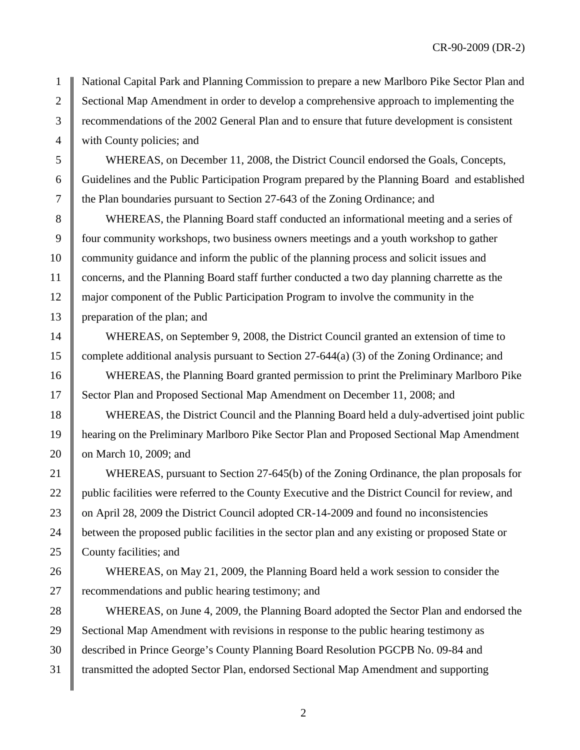1 National Capital Park and Planning Commission to prepare a new Marlboro Pike Sector Plan and 2 Sectional Map Amendment in order to develop a comprehensive approach to implementing the 3 Commendations of the 2002 General Plan and to ensure that future development is consistent 4 | with County policies; and

5 WHEREAS, on December 11, 2008, the District Council endorsed the Goals, Concepts, 6 Guidelines and the Public Participation Program prepared by the Planning Board and established 7 the Plan boundaries pursuant to Section 27-643 of the Zoning Ordinance; and

8 WHEREAS, the Planning Board staff conducted an informational meeting and a series of 9 four community workshops, two business owners meetings and a youth workshop to gather 10 community guidance and inform the public of the planning process and solicit issues and 11 concerns, and the Planning Board staff further conducted a two day planning charrette as the 12 major component of the Public Participation Program to involve the community in the 13 | preparation of the plan; and

14 WHEREAS, on September 9, 2008, the District Council granted an extension of time to 15 complete additional analysis pursuant to Section 27-644(a) (3) of the Zoning Ordinance; and

16 WHEREAS, the Planning Board granted permission to print the Preliminary Marlboro Pike 17 Sector Plan and Proposed Sectional Map Amendment on December 11, 2008; and

18 WHEREAS, the District Council and the Planning Board held a duly-advertised joint public 19 hearing on the Preliminary Marlboro Pike Sector Plan and Proposed Sectional Map Amendment 20 **b** on March 10, 2009; and

21 WHEREAS, pursuant to Section 27-645(b) of the Zoning Ordinance, the plan proposals for 22 | public facilities were referred to the County Executive and the District Council for review, and 23 on April 28, 2009 the District Council adopted CR-14-2009 and found no inconsistencies 24 between the proposed public facilities in the sector plan and any existing or proposed State or 25 County facilities; and

26 WHEREAS, on May 21, 2009, the Planning Board held a work session to consider the 27 The recommendations and public hearing testimony; and

 WHEREAS, on June 4, 2009, the Planning Board adopted the Sector Plan and endorsed the 29 Sectional Map Amendment with revisions in response to the public hearing testimony as described in Prince George's County Planning Board Resolution PGCPB No. 09-84 and transmitted the adopted Sector Plan, endorsed Sectional Map Amendment and supporting

2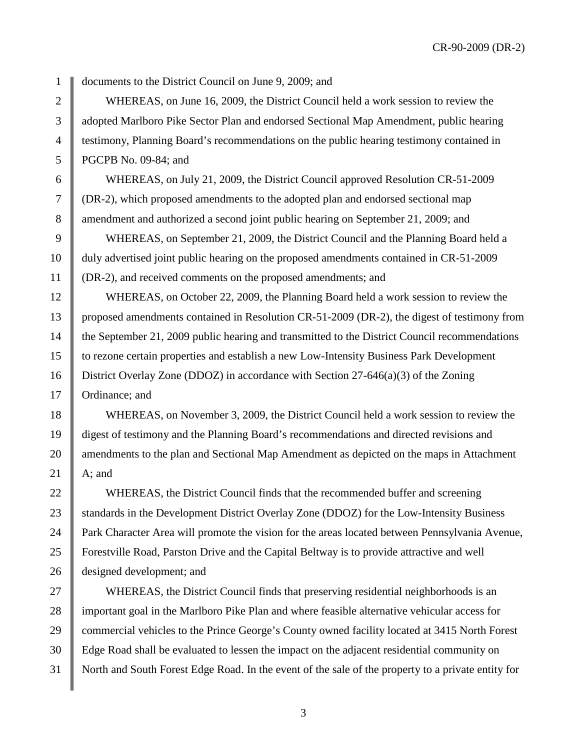1 | documents to the District Council on June 9, 2009; and

2 WHEREAS, on June 16, 2009, the District Council held a work session to review the 3 dopted Marlboro Pike Sector Plan and endorsed Sectional Map Amendment, public hearing 4 testimony, Planning Board's recommendations on the public hearing testimony contained in 5 PGCPB No. 09-84; and

6 WHEREAS, on July 21, 2009, the District Council approved Resolution CR-51-2009 7 (DR-2), which proposed amendments to the adopted plan and endorsed sectional map 8 amendment and authorized a second joint public hearing on September 21, 2009; and

9 WHEREAS, on September 21, 2009, the District Council and the Planning Board held a 10 duly advertised joint public hearing on the proposed amendments contained in CR-51-2009 11 (DR-2), and received comments on the proposed amendments; and

12 WHEREAS, on October 22, 2009, the Planning Board held a work session to review the 13 proposed amendments contained in Resolution CR-51-2009 (DR-2), the digest of testimony from 14 the September 21, 2009 public hearing and transmitted to the District Council recommendations 15 to rezone certain properties and establish a new Low-Intensity Business Park Development 16 District Overlay Zone (DDOZ) in accordance with Section 27-646(a)(3) of the Zoning 17 | Ordinance; and

 WHEREAS, on November 3, 2009, the District Council held a work session to review the digest of testimony and the Planning Board's recommendations and directed revisions and 20 amendments to the plan and Sectional Map Amendment as depicted on the maps in Attachment  $\parallel$  A; and

22 WHEREAS, the District Council finds that the recommended buffer and screening 23 Standards in the Development District Overlay Zone (DDOZ) for the Low-Intensity Business 24 Park Character Area will promote the vision for the areas located between Pennsylvania Avenue, 25 Forestville Road, Parston Drive and the Capital Beltway is to provide attractive and well 26 designed development; and

27 WHEREAS, the District Council finds that preserving residential neighborhoods is an 28 important goal in the Marlboro Pike Plan and where feasible alternative vehicular access for 29 commercial vehicles to the Prince George's County owned facility located at 3415 North Forest 30 Edge Road shall be evaluated to lessen the impact on the adjacent residential community on 31 North and South Forest Edge Road. In the event of the sale of the property to a private entity for

3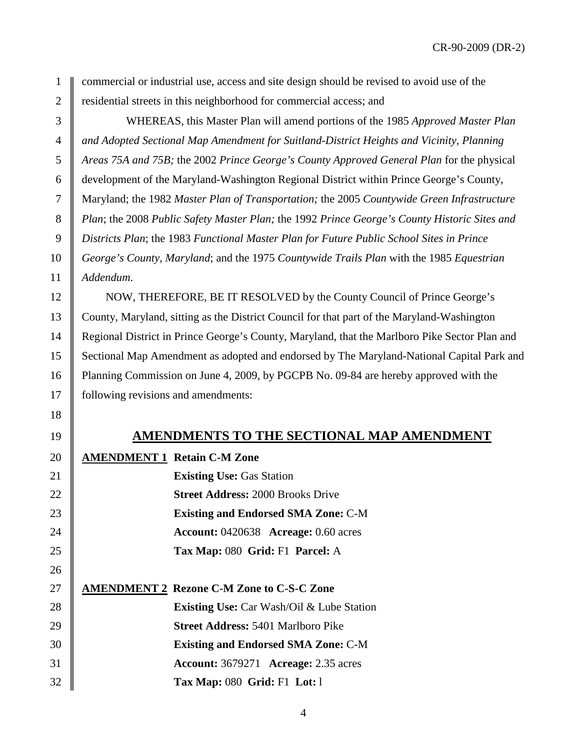commercial or industrial use, access and site design should be revised to avoid use of the 2 | residential streets in this neighborhood for commercial access; and

 WHEREAS, this Master Plan will amend portions of the 1985 *Approved Master Plan and Adopted Sectional Map Amendment for Suitland-District Heights and Vicinity, Planning Areas 75A and 75B;* the 2002 *Prince George's County Approved General Plan* for the physical development of the Maryland-Washington Regional District within Prince George's County, Maryland; the 1982 *Master Plan of Transportation;* the 2005 *Countywide Green Infrastructure Plan*; the 2008 *Public Safety Master Plan;* the 1992 *Prince George's County Historic Sites and Districts Plan*; the 1983 *Functional Master Plan for Future Public School Sites in Prince George's County, Maryland*; and the 1975 *Countywide Trails Plan* with the 1985 *Equestrian Addendum*.

12 NOW, THEREFORE, BE IT RESOLVED by the County Council of Prince George's County, Maryland, sitting as the District Council for that part of the Maryland-Washington Regional District in Prince George's County, Maryland, that the Marlboro Pike Sector Plan and Sectional Map Amendment as adopted and endorsed by The Maryland-National Capital Park and 16 Planning Commission on June 4, 2009, by PGCPB No. 09-84 are hereby approved with the 17 | following revisions and amendments:

### **AMENDMENTS TO THE SECTIONAL MAP AMENDMENT**

| 20 | <b>AMENDMENT 1 Retain C-M Zone</b>                 |
|----|----------------------------------------------------|
| 21 | <b>Existing Use: Gas Station</b>                   |
| 22 | <b>Street Address: 2000 Brooks Drive</b>           |
| 23 | <b>Existing and Endorsed SMA Zone: C-M</b>         |
| 24 | Account: 0420638 Acreage: 0.60 acres               |
| 25 | Tax Map: 080 Grid: F1 Parcel: A                    |
| 26 |                                                    |
| 27 | <b>AMENDMENT 2 Rezone C-M Zone to C-S-C Zone</b>   |
| 28 | <b>Existing Use:</b> Car Wash/Oil & Lube Station   |
| 29 | <b>Street Address: 5401 Marlboro Pike</b>          |
| 30 | <b>Existing and Endorsed SMA Zone: C-M</b>         |
| 31 | <b>Account:</b> 3679271 <b>Acreage:</b> 2.35 acres |
| 32 | <b>Tax Map: 080 Grid: F1 Lot: 1</b>                |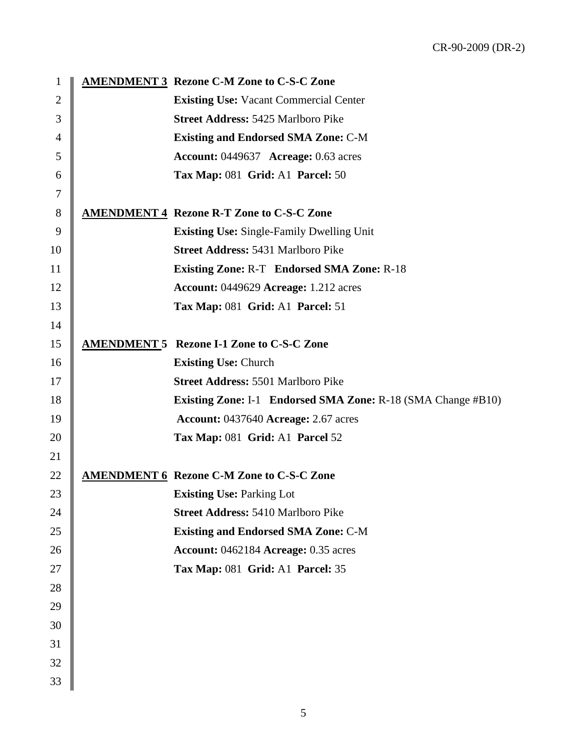| $\mathbf{1}$   | <b>AMENDMENT 3 Rezone C-M Zone to C-S-C Zone</b>                    |
|----------------|---------------------------------------------------------------------|
| $\overline{2}$ | <b>Existing Use: Vacant Commercial Center</b>                       |
| 3              | <b>Street Address: 5425 Marlboro Pike</b>                           |
| 4              | <b>Existing and Endorsed SMA Zone: C-M</b>                          |
| 5              | <b>Account: 0449637 Acreage: 0.63 acres</b>                         |
| 6              | Tax Map: 081 Grid: A1 Parcel: 50                                    |
| 7              |                                                                     |
| 8              | <b>AMENDMENT 4 Rezone R-T Zone to C-S-C Zone</b>                    |
| 9              | <b>Existing Use:</b> Single-Family Dwelling Unit                    |
| 10             | <b>Street Address: 5431 Marlboro Pike</b>                           |
| 11             | <b>Existing Zone: R-T</b> Endorsed SMA Zone: R-18                   |
| 12             | <b>Account: 0449629 Acreage: 1.212 acres</b>                        |
| 13             | Tax Map: 081 Grid: A1 Parcel: 51                                    |
| 14             |                                                                     |
| 15             | <b>AMENDMENT 5 Rezone I-1 Zone to C-S-C Zone</b>                    |
| 16             | <b>Existing Use: Church</b>                                         |
| 17             | <b>Street Address: 5501 Marlboro Pike</b>                           |
| 18             | <b>Existing Zone: I-1 Endorsed SMA Zone: R-18 (SMA Change #B10)</b> |
| 19             | <b>Account: 0437640 Acreage: 2.67 acres</b>                         |
| 20             | Tax Map: 081 Grid: A1 Parcel 52                                     |
| 21             |                                                                     |
| 22             | <b>AMENDMENT 6 Rezone C-M Zone to C-S-C Zone</b>                    |
| 23             | <b>Existing Use: Parking Lot</b>                                    |
| 24             | <b>Street Address: 5410 Marlboro Pike</b>                           |
| 25             | <b>Existing and Endorsed SMA Zone: C-M</b>                          |
| 26             | Account: 0462184 Acreage: 0.35 acres                                |
| 27             | Tax Map: 081 Grid: A1 Parcel: 35                                    |
| 28             |                                                                     |
| 29             |                                                                     |
| 30             |                                                                     |
| 31             |                                                                     |
| 32             |                                                                     |
| 33             |                                                                     |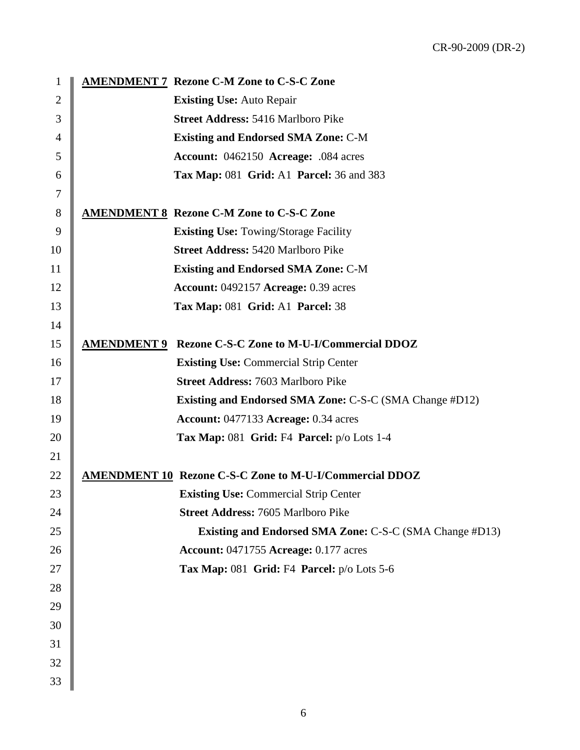| 1              | <b>AMENDMENT 7 Rezone C-M Zone to C-S-C Zone</b>               |
|----------------|----------------------------------------------------------------|
| $\overline{2}$ | <b>Existing Use: Auto Repair</b>                               |
| 3              | <b>Street Address: 5416 Marlboro Pike</b>                      |
| 4              | <b>Existing and Endorsed SMA Zone: C-M</b>                     |
| 5              | Account: 0462150 Acreage: .084 acres                           |
| 6              | <b>Tax Map: 081 Grid: A1 Parcel: 36 and 383</b>                |
| 7              |                                                                |
| 8              | <b>AMENDMENT 8 Rezone C-M Zone to C-S-C Zone</b>               |
| 9              | <b>Existing Use: Towing/Storage Facility</b>                   |
| 10             | <b>Street Address: 5420 Marlboro Pike</b>                      |
| 11             | <b>Existing and Endorsed SMA Zone: C-M</b>                     |
| 12             | Account: 0492157 Acreage: 0.39 acres                           |
| 13             | Tax Map: 081 Grid: A1 Parcel: 38                               |
| 14             |                                                                |
| 15             | <b>AMENDMENT 9 Rezone C-S-C Zone to M-U-I/Commercial DDOZ</b>  |
| 16             | <b>Existing Use: Commercial Strip Center</b>                   |
| 17             | <b>Street Address: 7603 Marlboro Pike</b>                      |
| 18             | <b>Existing and Endorsed SMA Zone: C-S-C (SMA Change #D12)</b> |
| 19             | Account: 0477133 Acreage: 0.34 acres                           |
| 20             | Tax Map: 081 Grid: F4 Parcel: $p/o$ Lots 1-4                   |
| 21             |                                                                |
| 22             | <b>AMENDMENT 10 Rezone C-S-C Zone to M-U-I/Commercial DDOZ</b> |
| 23             | <b>Existing Use: Commercial Strip Center</b>                   |
| 24             | Street Address: 7605 Marlboro Pike                             |
| 25             | <b>Existing and Endorsed SMA Zone: C-S-C (SMA Change #D13)</b> |
| 26             | <b>Account: 0471755 Acreage: 0.177 acres</b>                   |
| 27             | Tax Map: 081 Grid: F4 Parcel: p/o Lots 5-6                     |
| 28             |                                                                |
| 29             |                                                                |
| 30             |                                                                |
| 31             |                                                                |
| 32             |                                                                |
| 33             |                                                                |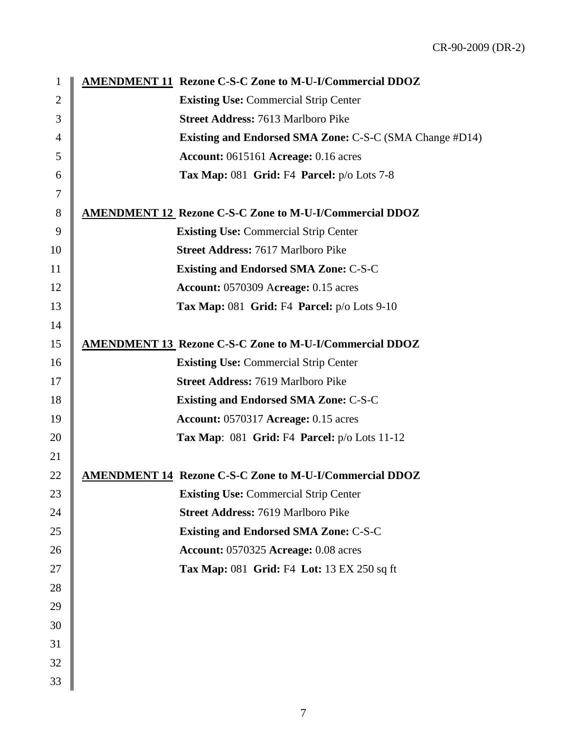| $\mathbf{1}$   | <b>AMENDMENT 11 Rezone C-S-C Zone to M-U-I/Commercial DDOZ</b> |
|----------------|----------------------------------------------------------------|
| $\overline{2}$ | <b>Existing Use: Commercial Strip Center</b>                   |
| 3              | <b>Street Address: 7613 Marlboro Pike</b>                      |
| $\overline{4}$ | <b>Existing and Endorsed SMA Zone: C-S-C (SMA Change #D14)</b> |
| 5              | Account: 0615161 Acreage: 0.16 acres                           |
| 6              | Tax Map: 081 Grid: F4 Parcel: $p/o$ Lots 7-8                   |
| 7              |                                                                |
| 8              | <b>AMENDMENT 12 Rezone C-S-C Zone to M-U-I/Commercial DDOZ</b> |
| 9              | <b>Existing Use: Commercial Strip Center</b>                   |
| 10             | <b>Street Address: 7617 Marlboro Pike</b>                      |
| 11             | <b>Existing and Endorsed SMA Zone: C-S-C</b>                   |
| 12             | <b>Account: 0570309 Acreage: 0.15 acres</b>                    |
| 13             | Tax Map: 081 Grid: F4 Parcel: p/o Lots 9-10                    |
| 14             |                                                                |
| 15             | <b>AMENDMENT 13 Rezone C-S-C Zone to M-U-I/Commercial DDOZ</b> |
| 16             | <b>Existing Use: Commercial Strip Center</b>                   |
| 17             | <b>Street Address: 7619 Marlboro Pike</b>                      |
| 18             | <b>Existing and Endorsed SMA Zone: C-S-C</b>                   |
| 19             | <b>Account: 0570317 Acreage: 0.15 acres</b>                    |
| 20             | Tax Map: $081$ Grid: F4 Parcel: $p/o$ Lots 11-12               |
| 21             |                                                                |
| 22             | <b>AMENDMENT 14 Rezone C-S-C Zone to M-U-I/Commercial DDOZ</b> |
| 23             | <b>Existing Use: Commercial Strip Center</b>                   |
| 24             | <b>Street Address: 7619 Marlboro Pike</b>                      |
| 25             | <b>Existing and Endorsed SMA Zone: C-S-C</b>                   |
| 26             | Account: 0570325 Acreage: 0.08 acres                           |
| 27             | Tax Map: 081 Grid: F4 Lot: 13 EX 250 sq ft                     |
| 28             |                                                                |
| 29             |                                                                |
| 30             |                                                                |
| 31             |                                                                |
| 32             |                                                                |
| 33             |                                                                |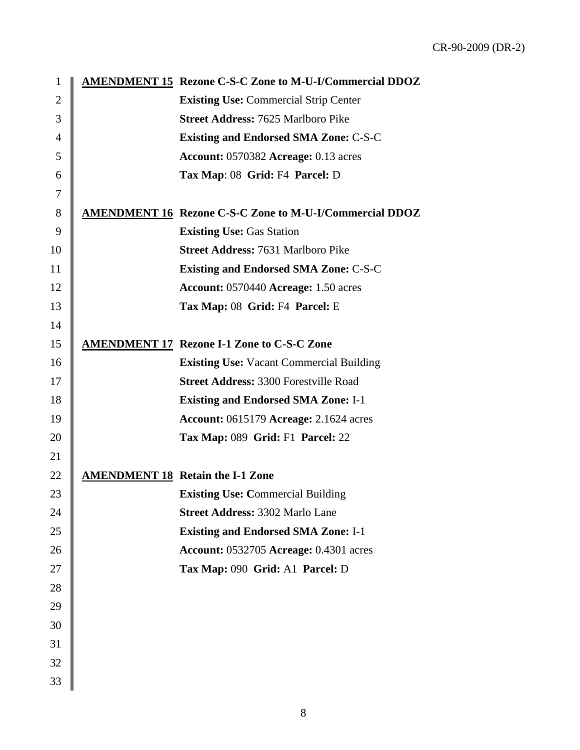| $\mathbf{1}$   | <b>AMENDMENT 15 Rezone C-S-C Zone to M-U-I/Commercial DDOZ</b> |
|----------------|----------------------------------------------------------------|
| $\overline{2}$ | <b>Existing Use: Commercial Strip Center</b>                   |
| 3              | <b>Street Address: 7625 Marlboro Pike</b>                      |
| $\overline{4}$ | <b>Existing and Endorsed SMA Zone: C-S-C</b>                   |
| 5              | <b>Account: 0570382 Acreage: 0.13 acres</b>                    |
| 6              | Tax Map: 08 Grid: F4 Parcel: D                                 |
| 7              |                                                                |
| 8              | <b>AMENDMENT 16 Rezone C-S-C Zone to M-U-I/Commercial DDOZ</b> |
| 9              | <b>Existing Use: Gas Station</b>                               |
| 10             | <b>Street Address: 7631 Marlboro Pike</b>                      |
| 11             | <b>Existing and Endorsed SMA Zone: C-S-C</b>                   |
| 12             | Account: 0570440 Acreage: 1.50 acres                           |
| 13             | Tax Map: 08 Grid: F4 Parcel: E                                 |
| 14             |                                                                |
| 15             | <b>AMENDMENT 17 Rezone I-1 Zone to C-S-C Zone</b>              |
| 16             | <b>Existing Use: Vacant Commercial Building</b>                |
| 17             | <b>Street Address: 3300 Forestville Road</b>                   |
| 18             | <b>Existing and Endorsed SMA Zone: I-1</b>                     |
| 19             | <b>Account: 0615179 Acreage: 2.1624 acres</b>                  |
| 20             | Tax Map: 089 Grid: F1 Parcel: 22                               |
| 21             |                                                                |
| 22             | <b>AMENDMENT 18 Retain the I-1 Zone</b>                        |
| 23             | <b>Existing Use: Commercial Building</b>                       |
| 24             | <b>Street Address: 3302 Marlo Lane</b>                         |
| 25             | <b>Existing and Endorsed SMA Zone: I-1</b>                     |
| 26             | <b>Account: 0532705 Acreage: 0.4301 acres</b>                  |
| 27             | Tax Map: 090 Grid: A1 Parcel: D                                |
| 28             |                                                                |
| 29             |                                                                |
| 30             |                                                                |
| 31             |                                                                |
| 32             |                                                                |
| 33             |                                                                |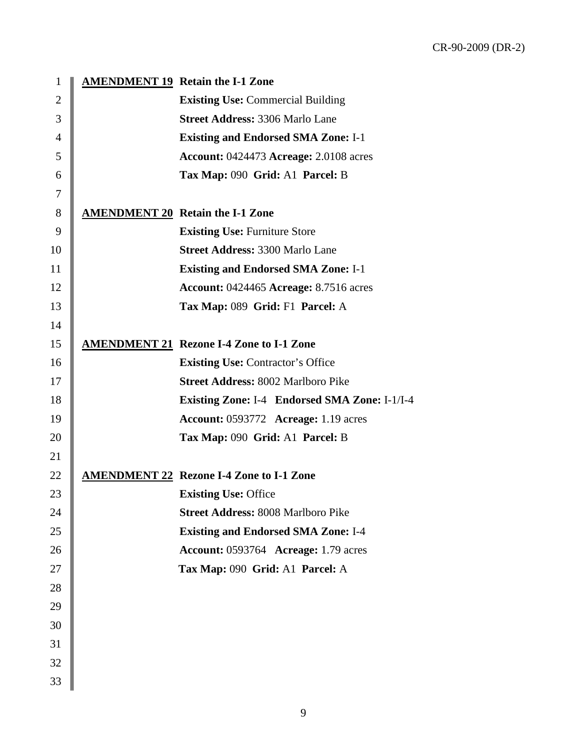| 1              | <b>AMENDMENT 19 Retain the I-1 Zone</b>              |
|----------------|------------------------------------------------------|
| $\overline{2}$ | <b>Existing Use: Commercial Building</b>             |
| 3              | <b>Street Address: 3306 Marlo Lane</b>               |
| 4              | <b>Existing and Endorsed SMA Zone: I-1</b>           |
| 5              | <b>Account: 0424473 Acreage: 2.0108 acres</b>        |
| 6              | Tax Map: 090 Grid: A1 Parcel: B                      |
| 7              |                                                      |
| 8              | <b>AMENDMENT 20 Retain the I-1 Zone</b>              |
| 9              | <b>Existing Use: Furniture Store</b>                 |
| 10             | <b>Street Address: 3300 Marlo Lane</b>               |
| 11             | <b>Existing and Endorsed SMA Zone: I-1</b>           |
| 12             | <b>Account: 0424465 Acreage: 8.7516 acres</b>        |
| 13             | Tax Map: 089 Grid: F1 Parcel: A                      |
| 14             |                                                      |
| 15             | <b>AMENDMENT 21 Rezone I-4 Zone to I-1 Zone</b>      |
| 16             | <b>Existing Use: Contractor's Office</b>             |
| 17             | <b>Street Address: 8002 Marlboro Pike</b>            |
| 18             | <b>Existing Zone: I-4 Endorsed SMA Zone: I-1/I-4</b> |
| 19             | <b>Account: 0593772 Acreage: 1.19 acres</b>          |
| 20             | Tax Map: 090 Grid: A1 Parcel: B                      |
| 21             |                                                      |
| 22             | <b>AMENDMENT 22 Rezone I-4 Zone to I-1 Zone</b>      |
| 23             | <b>Existing Use: Office</b>                          |
| 24             | <b>Street Address: 8008 Marlboro Pike</b>            |
| 25             | <b>Existing and Endorsed SMA Zone: I-4</b>           |
| 26             | <b>Account: 0593764 Acreage: 1.79 acres</b>          |
| 27             | Tax Map: 090 Grid: A1 Parcel: A                      |
| 28             |                                                      |
| 29             |                                                      |
| 30             |                                                      |
| 31             |                                                      |
| 32             |                                                      |
| 33             |                                                      |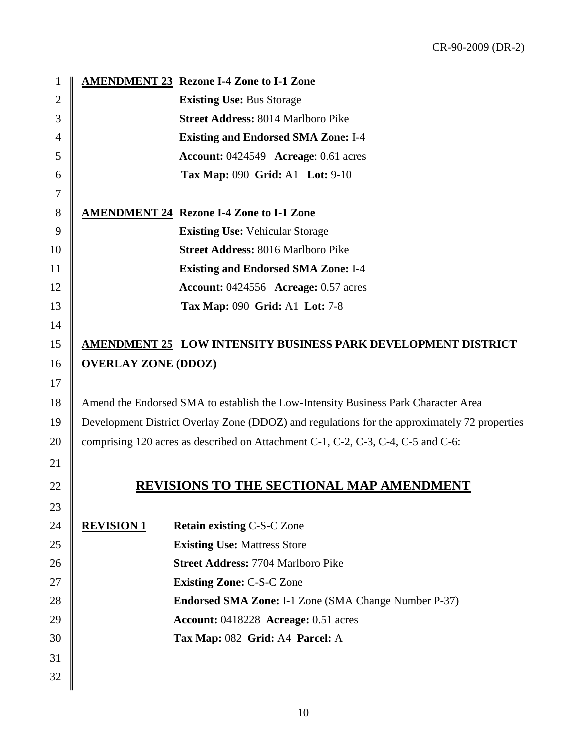| $\boldsymbol{2}$<br><b>Existing Use: Bus Storage</b>                                               |  |
|----------------------------------------------------------------------------------------------------|--|
|                                                                                                    |  |
| 3<br><b>Street Address: 8014 Marlboro Pike</b>                                                     |  |
| $\overline{4}$<br><b>Existing and Endorsed SMA Zone: I-4</b>                                       |  |
| 5<br>Account: 0424549 Acreage: 0.61 acres                                                          |  |
| Tax Map: 090 Grid: A1 Lot: 9-10<br>6                                                               |  |
| 7                                                                                                  |  |
| 8<br><b>AMENDMENT 24 Rezone I-4 Zone to I-1 Zone</b>                                               |  |
| 9<br><b>Existing Use: Vehicular Storage</b>                                                        |  |
| 10<br><b>Street Address: 8016 Marlboro Pike</b>                                                    |  |
| 11<br><b>Existing and Endorsed SMA Zone: I-4</b>                                                   |  |
| 12<br><b>Account: 0424556 Acreage: 0.57 acres</b>                                                  |  |
| 13<br><b>Tax Map: 090 Grid: A1 Lot: 7-8</b>                                                        |  |
| 14                                                                                                 |  |
| 15<br>AMENDMENT 25 LOW INTENSITY BUSINESS PARK DEVELOPMENT DISTRICT                                |  |
| 16<br><b>OVERLAY ZONE (DDOZ)</b>                                                                   |  |
| 17                                                                                                 |  |
| 18<br>Amend the Endorsed SMA to establish the Low-Intensity Business Park Character Area           |  |
| Development District Overlay Zone (DDOZ) and regulations for the approximately 72 properties<br>19 |  |
| 20<br>comprising 120 acres as described on Attachment C-1, C-2, C-3, C-4, C-5 and C-6:             |  |
| 21                                                                                                 |  |
| <b>REVISIONS TO THE SECTIONAL MAP AMENDMENT</b><br>22                                              |  |
| 23                                                                                                 |  |
| 24<br><b>REVISION 1</b><br><b>Retain existing C-S-C Zone</b>                                       |  |
| 25<br><b>Existing Use: Mattress Store</b>                                                          |  |
| 26<br><b>Street Address: 7704 Marlboro Pike</b>                                                    |  |
| 27<br><b>Existing Zone: C-S-C Zone</b>                                                             |  |
| 28<br>Endorsed SMA Zone: I-1 Zone (SMA Change Number P-37)                                         |  |
| 29<br>Account: 0418228 Acreage: 0.51 acres                                                         |  |
| 30<br>Tax Map: 082 Grid: A4 Parcel: A                                                              |  |
| 31                                                                                                 |  |
| 32                                                                                                 |  |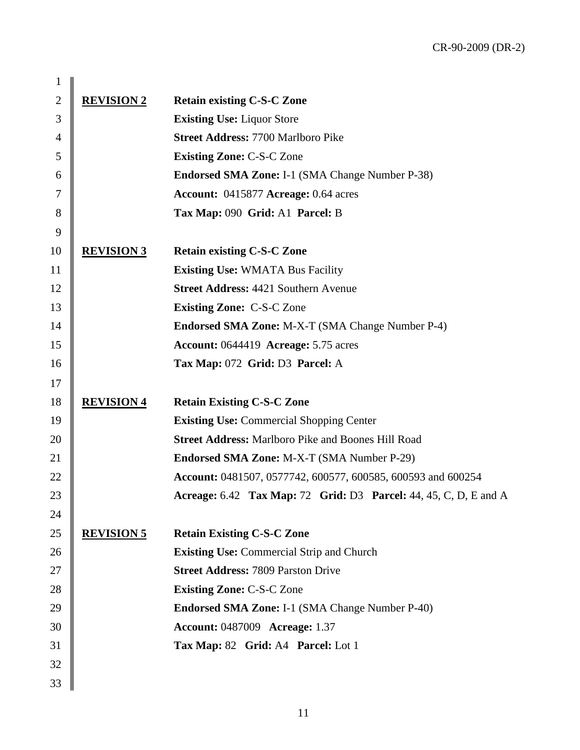| 1              |                   |                                                                         |
|----------------|-------------------|-------------------------------------------------------------------------|
| $\overline{2}$ | <b>REVISION 2</b> | <b>Retain existing C-S-C Zone</b>                                       |
| 3              |                   | <b>Existing Use: Liquor Store</b>                                       |
| $\overline{4}$ |                   | <b>Street Address: 7700 Marlboro Pike</b>                               |
| $\mathfrak s$  |                   | <b>Existing Zone: C-S-C Zone</b>                                        |
| 6              |                   | <b>Endorsed SMA Zone: I-1 (SMA Change Number P-38)</b>                  |
| 7              |                   | Account: 0415877 Acreage: 0.64 acres                                    |
| $8\,$          |                   | Tax Map: 090 Grid: A1 Parcel: B                                         |
| 9              |                   |                                                                         |
| 10             | <b>REVISION 3</b> | <b>Retain existing C-S-C Zone</b>                                       |
| 11             |                   | <b>Existing Use: WMATA Bus Facility</b>                                 |
| 12             |                   | <b>Street Address: 4421 Southern Avenue</b>                             |
| 13             |                   | <b>Existing Zone: C-S-C Zone</b>                                        |
| 14             |                   | <b>Endorsed SMA Zone:</b> M-X-T (SMA Change Number P-4)                 |
| 15             |                   | <b>Account: 0644419 Acreage: 5.75 acres</b>                             |
| 16             |                   | Tax Map: 072 Grid: D3 Parcel: A                                         |
| 17             |                   |                                                                         |
| 18             | <b>REVISION 4</b> | <b>Retain Existing C-S-C Zone</b>                                       |
| 19             |                   | <b>Existing Use: Commercial Shopping Center</b>                         |
| 20             |                   | <b>Street Address: Marlboro Pike and Boones Hill Road</b>               |
| 21             |                   | <b>Endorsed SMA Zone: M-X-T (SMA Number P-29)</b>                       |
| 22             |                   | Account: 0481507, 0577742, 600577, 600585, 600593 and 600254            |
| 23             |                   | <b>Acreage:</b> 6.42 Tax Map: 72 Grid: D3 Parcel: 44, 45, C, D, E and A |
| 24             |                   |                                                                         |
| 25             | <b>REVISION 5</b> | <b>Retain Existing C-S-C Zone</b>                                       |
| 26             |                   | <b>Existing Use: Commercial Strip and Church</b>                        |
| 27             |                   | <b>Street Address: 7809 Parston Drive</b>                               |
| 28             |                   | <b>Existing Zone: C-S-C Zone</b>                                        |
| 29             |                   | <b>Endorsed SMA Zone: I-1 (SMA Change Number P-40)</b>                  |
| 30             |                   | <b>Account: 0487009 Acreage: 1.37</b>                                   |
| 31             |                   | Tax Map: 82 Grid: A4 Parcel: Lot 1                                      |
| 32             |                   |                                                                         |
| 33             |                   |                                                                         |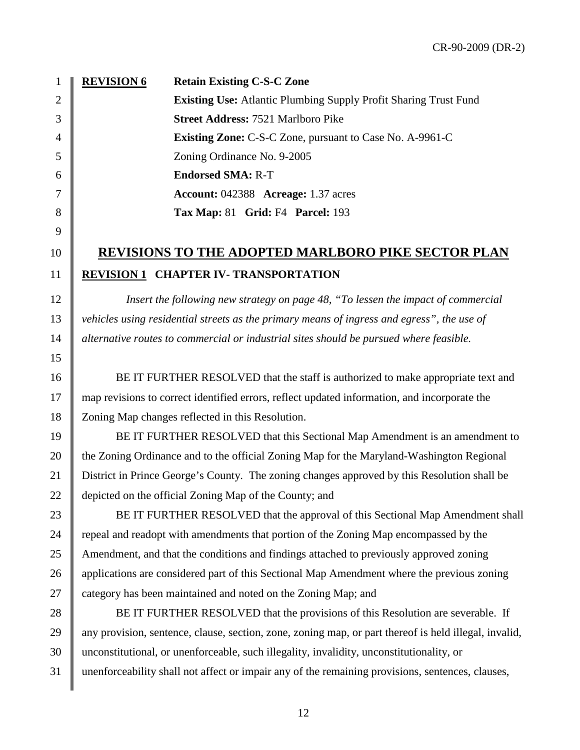**REVISION 6 Existing Use:** Atlantic Plumbing Supply Profit Sharing Trust Fund **Retain Existing C-S-C Zone Street Address:** 7521 Marlboro Pike **Existing Zone:** C-S-C Zone, pursuant to Case No. A-9961-C Zoning Ordinance No. 9-2005 **Endorsed SMA:** R-T **Account:** 042388 **Acreage:** 1.37 acres **Tax Map:** 81 **Grid:** F4 **Parcel:** 193

## 10 **REVISIONS TO THE ADOPTED MARLBORO PIKE SECTOR PLAN**  11 | **REVISION 1 CHAPTER IV- TRANSPORTATION**

12 *Insert the following new strategy on page 48, "To lessen the impact of commercial*  13 *vehicles using residential streets as the primary means of ingress and egress", the use of*  14 *alternative routes to commercial or industrial sites should be pursued where feasible.* 

16 BE IT FURTHER RESOLVED that the staff is authorized to make appropriate text and 17 map revisions to correct identified errors, reflect updated information, and incorporate the 18 Zoning Map changes reflected in this Resolution.

19 BE IT FURTHER RESOLVED that this Sectional Map Amendment is an amendment to 20 the Zoning Ordinance and to the official Zoning Map for the Maryland-Washington Regional 21 District in Prince George's County. The zoning changes approved by this Resolution shall be 22  $\parallel$  depicted on the official Zoning Map of the County; and

23 BE IT FURTHER RESOLVED that the approval of this Sectional Map Amendment shall 24 repeal and readopt with amendments that portion of the Zoning Map encompassed by the 25 Amendment, and that the conditions and findings attached to previously approved zoning 26 | applications are considered part of this Sectional Map Amendment where the previous zoning 27 category has been maintained and noted on the Zoning Map; and

28 BE IT FURTHER RESOLVED that the provisions of this Resolution are severable. If 29 || any provision, sentence, clause, section, zone, zoning map, or part thereof is held illegal, invalid, 30 unconstitutional, or unenforceable, such illegality, invalidity, unconstitutionality, or 31 unenforceability shall not affect or impair any of the remaining provisions, sentences, clauses,